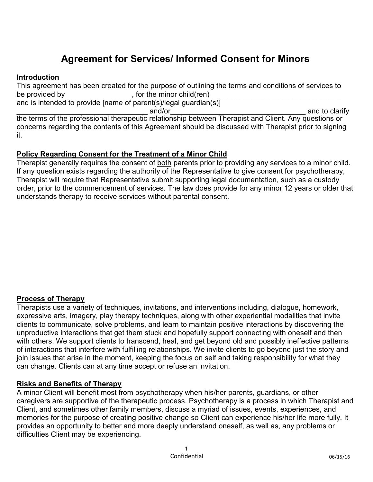# **Agreement for Services/ Informed Consent for Minors**

### **Introduction**

This agreement has been created for the purpose of outlining the terms and conditions of services to be provided by \_\_\_\_\_\_\_\_\_\_\_\_\_\_\_\_\_, for the minor child(ren) \_ and is intended to provide [name of parent(s)/legal guardian(s)]

\_\_\_\_\_\_\_\_\_\_\_\_\_\_\_\_\_\_\_\_\_\_\_\_\_\_\_\_\_\_\_\_ and/or\_\_\_\_\_\_\_\_\_\_\_\_\_\_\_\_\_\_\_\_\_\_\_\_\_\_\_\_\_\_\_\_\_ and to clarify the terms of the professional therapeutic relationship between Therapist and Client. Any questions or concerns regarding the contents of this Agreement should be discussed with Therapist prior to signing it.

### **Policy Regarding Consent for the Treatment of a Minor Child**

Therapist generally requires the consent of both parents prior to providing any services to a minor child. If any question exists regarding the authority of the Representative to give consent for psychotherapy, Therapist will require that Representative submit supporting legal documentation, such as a custody order, prior to the commencement of services. The law does provide for any minor 12 years or older that understands therapy to receive services without parental consent.

### **Process of Therapy**

Therapists use a variety of techniques, invitations, and interventions including, dialogue, homework, expressive arts, imagery, play therapy techniques, along with other experiential modalities that invite clients to communicate, solve problems, and learn to maintain positive interactions by discovering the unproductive interactions that get them stuck and hopefully support connecting with oneself and then with others. We support clients to transcend, heal, and get beyond old and possibly ineffective patterns of interactions that interfere with fulfilling relationships. We invite clients to go beyond just the story and join issues that arise in the moment, keeping the focus on self and taking responsibility for what they can change. Clients can at any time accept or refuse an invitation.

### **Risks and Benefits of Therapy**

A minor Client will benefit most from psychotherapy when his/her parents, guardians, or other caregivers are supportive of the therapeutic process. Psychotherapy is a process in which Therapist and Client, and sometimes other family members, discuss a myriad of issues, events, experiences, and memories for the purpose of creating positive change so Client can experience his/her life more fully. It provides an opportunity to better and more deeply understand oneself, as well as, any problems or difficulties Client may be experiencing.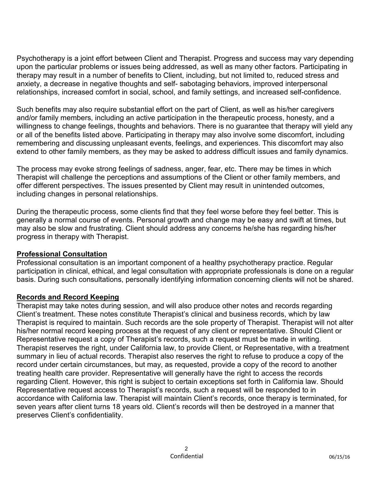Psychotherapy is a joint effort between Client and Therapist. Progress and success may vary depending upon the particular problems or issues being addressed, as well as many other factors. Participating in therapy may result in a number of benefits to Client, including, but not limited to, reduced stress and anxiety, a decrease in negative thoughts and self- sabotaging behaviors, improved interpersonal relationships, increased comfort in social, school, and family settings, and increased self-confidence.

Such benefits may also require substantial effort on the part of Client, as well as his/her caregivers and/or family members, including an active participation in the therapeutic process, honesty, and a willingness to change feelings, thoughts and behaviors. There is no guarantee that therapy will yield any or all of the benefits listed above. Participating in therapy may also involve some discomfort, including remembering and discussing unpleasant events, feelings, and experiences. This discomfort may also extend to other family members, as they may be asked to address difficult issues and family dynamics.

The process may evoke strong feelings of sadness, anger, fear, etc. There may be times in which Therapist will challenge the perceptions and assumptions of the Client or other family members, and offer different perspectives. The issues presented by Client may result in unintended outcomes, including changes in personal relationships.

During the therapeutic process, some clients find that they feel worse before they feel better. This is generally a normal course of events. Personal growth and change may be easy and swift at times, but may also be slow and frustrating. Client should address any concerns he/she has regarding his/her progress in therapy with Therapist.

### **Professional Consultation**

Professional consultation is an important component of a healthy psychotherapy practice. Regular participation in clinical, ethical, and legal consultation with appropriate professionals is done on a regular basis. During such consultations, personally identifying information concerning clients will not be shared.

# **Records and Record Keeping**

Therapist may take notes during session, and will also produce other notes and records regarding Client's treatment. These notes constitute Therapist's clinical and business records, which by law Therapist is required to maintain. Such records are the sole property of Therapist. Therapist will not alter his/her normal record keeping process at the request of any client or representative. Should Client or Representative request a copy of Therapist's records, such a request must be made in writing. Therapist reserves the right, under California law, to provide Client, or Representative, with a treatment summary in lieu of actual records. Therapist also reserves the right to refuse to produce a copy of the record under certain circumstances, but may, as requested, provide a copy of the record to another treating health care provider. Representative will generally have the right to access the records regarding Client. However, this right is subject to certain exceptions set forth in California law. Should Representative request access to Therapist's records, such a request will be responded to in accordance with California law. Therapist will maintain Client's records, once therapy is terminated, for seven years after client turns 18 years old. Client's records will then be destroyed in a manner that preserves Client's confidentiality.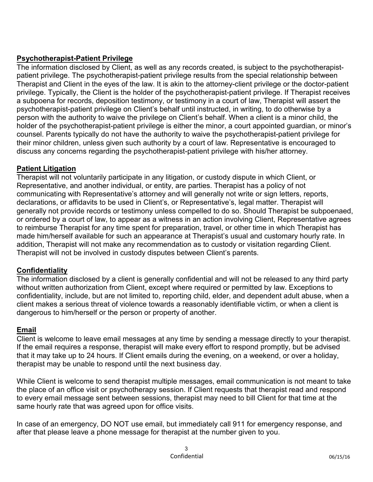# **Psychotherapist-Patient Privilege**

The information disclosed by Client, as well as any records created, is subject to the psychotherapistpatient privilege. The psychotherapist-patient privilege results from the special relationship between Therapist and Client in the eyes of the law. It is akin to the attorney-client privilege or the doctor-patient privilege. Typically, the Client is the holder of the psychotherapist-patient privilege. If Therapist receives a subpoena for records, deposition testimony, or testimony in a court of law, Therapist will assert the psychotherapist-patient privilege on Client's behalf until instructed, in writing, to do otherwise by a person with the authority to waive the privilege on Client's behalf. When a client is a minor child, the holder of the psychotherapist-patient privilege is either the minor, a court appointed guardian, or minor's counsel. Parents typically do not have the authority to waive the psychotherapist-patient privilege for their minor children, unless given such authority by a court of law. Representative is encouraged to discuss any concerns regarding the psychotherapist-patient privilege with his/her attorney.

# **Patient Litigation**

Therapist will not voluntarily participate in any litigation, or custody dispute in which Client, or Representative, and another individual, or entity, are parties. Therapist has a policy of not communicating with Representative's attorney and will generally not write or sign letters, reports, declarations, or affidavits to be used in Client's, or Representative's, legal matter. Therapist will generally not provide records or testimony unless compelled to do so. Should Therapist be subpoenaed, or ordered by a court of law, to appear as a witness in an action involving Client, Representative agrees to reimburse Therapist for any time spent for preparation, travel, or other time in which Therapist has made him/herself available for such an appearance at Therapist's usual and customary hourly rate. In addition, Therapist will not make any recommendation as to custody or visitation regarding Client. Therapist will not be involved in custody disputes between Client's parents.

# **Confidentiality**

The information disclosed by a client is generally confidential and will not be released to any third party without written authorization from Client, except where required or permitted by law. Exceptions to confidentiality, include, but are not limited to, reporting child, elder, and dependent adult abuse, when a client makes a serious threat of violence towards a reasonably identifiable victim, or when a client is dangerous to him/herself or the person or property of another.

# **Email**

Client is welcome to leave email messages at any time by sending a message directly to your therapist. If the email requires a response, therapist will make every effort to respond promptly, but be advised that it may take up to 24 hours. If Client emails during the evening, on a weekend, or over a holiday, therapist may be unable to respond until the next business day.

While Client is welcome to send therapist multiple messages, email communication is not meant to take the place of an office visit or psychotherapy session. If Client requests that therapist read and respond to every email message sent between sessions, therapist may need to bill Client for that time at the same hourly rate that was agreed upon for office visits.

In case of an emergency, DO NOT use email, but immediately call 911 for emergency response, and after that please leave a phone message for therapist at the number given to you.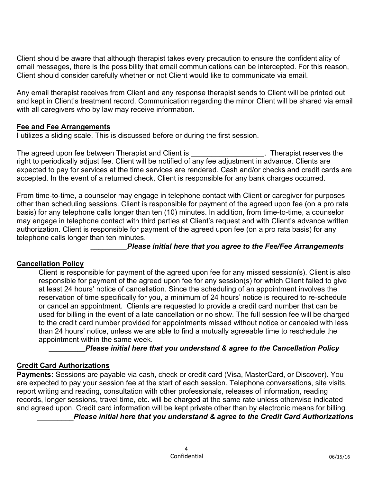Client should be aware that although therapist takes every precaution to ensure the confidentiality of email messages, there is the possibility that email communications can be intercepted. For this reason, Client should consider carefully whether or not Client would like to communicate via email.

Any email therapist receives from Client and any response therapist sends to Client will be printed out and kept in Client's treatment record. Communication regarding the minor Client will be shared via email with all caregivers who by law may receive information.

### **Fee and Fee Arrangements**

I utilizes a sliding scale. This is discussed before or during the first session.

The agreed upon fee between Therapist and Client is Therapist reserves the right to periodically adjust fee. Client will be notified of any fee adjustment in advance. Clients are expected to pay for services at the time services are rendered. Cash and/or checks and credit cards are accepted. In the event of a returned check, Client is responsible for any bank charges occurred.

From time-to-time, a counselor may engage in telephone contact with Client or caregiver for purposes other than scheduling sessions. Client is responsible for payment of the agreed upon fee (on a pro rata basis) for any telephone calls longer than ten (10) minutes. In addition, from time-to-time, a counselor may engage in telephone contact with third parties at Client's request and with Client's advance written authorization. Client is responsible for payment of the agreed upon fee (on a pro rata basis) for any telephone calls longer than ten minutes.

*\_\_\_\_\_\_\_\_\_Please initial here that you agree to the Fee/Fee Arrangements* 

### **Cancellation Policy**

Client is responsible for payment of the agreed upon fee for any missed session(s). Client is also responsible for payment of the agreed upon fee for any session(s) for which Client failed to give at least 24 hours' notice of cancellation. Since the scheduling of an appointment involves the reservation of time specifically for you, a minimum of 24 hours' notice is required to re-schedule or cancel an appointment. Clients are requested to provide a credit card number that can be used for billing in the event of a late cancellation or no show. The full session fee will be charged to the credit card number provided for appointments missed without notice or canceled with less than 24 hours' notice, unless we are able to find a mutually agreeable time to reschedule the appointment within the same week.

*Please initial here that you understand & agree to the Cancellation Policy* 

### **Credit Card Authorizations**

**Payments:** Sessions are payable via cash, check or credit card (Visa, MasterCard, or Discover). You are expected to pay your session fee at the start of each session. Telephone conversations, site visits, report writing and reading, consultation with other professionals, releases of information, reading records, longer sessions, travel time, etc. will be charged at the same rate unless otherwise indicated and agreed upon. Credit card information will be kept private other than by electronic means for billing.

*\_\_\_\_\_\_\_\_\_Please initial here that you understand & agree to the Credit Card Authorizations*